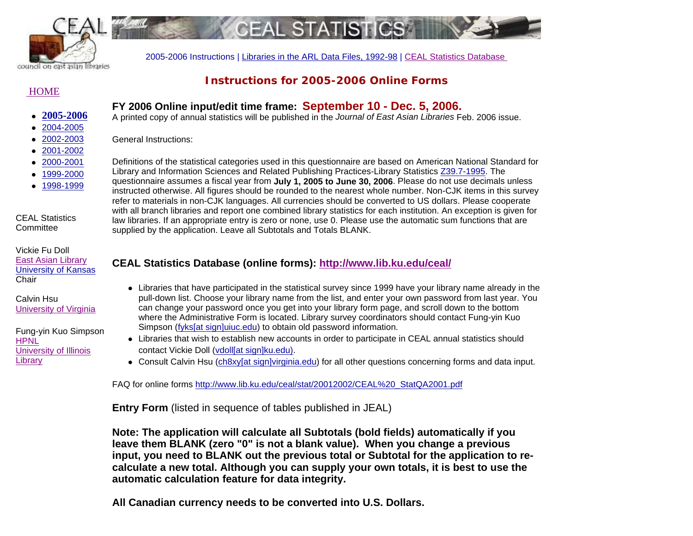

2005-2006 Instructions | Libraries in the ARL Data Files, 1992-98 | CEAL Statistics Database

# **HOME**

# **Instructions for 2005-2006 Online Forms**

# **FY 2006 Online input/edit time frame: September 10 - Dec. 5, 2006.**

FAI STA

A printed copy of annual statistics will be published in the *Journal of East Asian Libraries* Feb. 2006 issue.

z 2002-2003 z 2001-2002

z **2005-2006**z 2004-2005

- z 2000-2001
- z 1999-2000
- z 1998-1999

CEAL Statistics **Committee** 

Vickie Fu DollEast Asian Library University of Kansas Chair

Calvin Hsu University of Virginia

Fung-yin Kuo Simpson HPNLUniversity of Illinois **Library** 

General Instructions: Definitions of the statistical categories used in this questionnaire are based on American National Standard for Library and Information Sciences and Related Publishing Practices-Library Statistics Z39.7-1995. The

questionnaire assumes a fiscal year from **July 1, 2005 to June 30, 2006**. Please do not use decimals unless instructed otherwise. All figures should be rounded to the nearest whole number. Non-CJK items in this survey refer to materials in non-CJK languages. All currencies should be converted to US dollars. Please cooperate with all branch libraries and report one combined library statistics for each institution. An exception is given for law libraries. If an appropriate entry is zero or none, use 0. Please use the automatic sum functions that are supplied by the application. Leave all Subtotals and Totals BLANK.

# **CEAL Statistics Database (online forms): http://www.lib.ku.edu/ceal/**

- Libraries that have participated in the statistical survey since 1999 have your library name already in the pull-down list. Choose your library name from the list, and enter your own password from last year. You can change your password once you get into your library form page, and scroll down to the bottom where the Administrative Form is located. Library survey coordinators should contact Fung-yin Kuo Simpson (fyks[at sign]uiuc.edu) to obtain old password information.
- Libraries that wish to establish new accounts in order to participate in CEAL annual statistics should contact Vickie Doll (vdoll[at sign]ku.edu).
- **Consult Calvin Hsu** (ch8xy[at sign]virginia.edu) for all other questions concerning forms and data input.

FAQ for online forms http://www.lib.ku.edu/ceal/stat/20012002/CEAL%20\_StatQA2001.pdf

**Entry Form** (listed in sequence of tables published in JEAL)

**Note: The application will calculate all Subtotals (bold fields) automatically if you leave them BLANK (zero "0" is not a blank value). When you change a previous input, you need to BLANK out the previous total or Subtotal for the application to recalculate a new total. Although you can supply your own totals, it is best to use the automatic calculation feature for data integrity.** 

**All Canadian currency needs to be converted into U.S. Dollars.**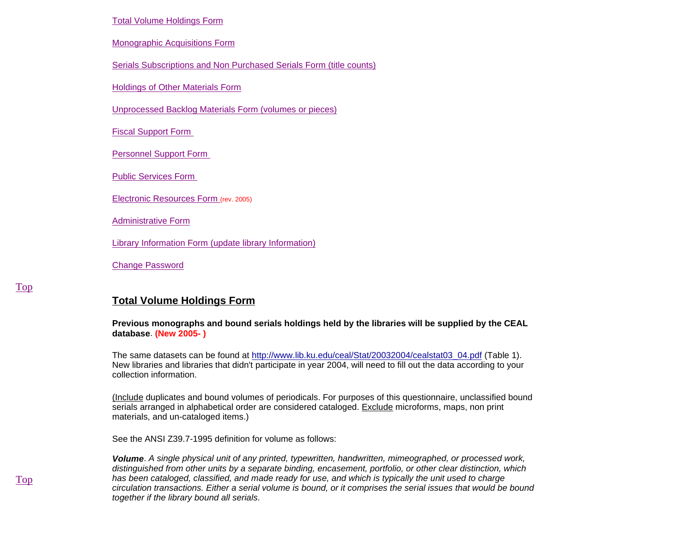#### Total Volume Holdings Form

Monographic Acquisitions Form

Serials Subscriptions and Non Purchased Serials Form (title counts)

**Holdings of Other Materials Form** 

Unprocessed Backlog Materials Form (volumes or pieces)

Fiscal Support Form

Personnel Support Form

Public Services Form

Electronic Resources Form (rev. 2005)

Administrative Form

Library Information Form (update library Information)

Change Password

# **Total Volume Holdings Form**

**Previous monographs and bound serials holdings held by the libraries will be supplied by the CEAL database**. **(New 2005- )**

The same datasets can be found at http://www.lib.ku.edu/ceal/Stat/20032004/cealstat03\_04.pdf (Table 1). New libraries and libraries that didn't participate in year 2004, will need to fill out the data according to your collection information.

(Include duplicates and bound volumes of periodicals. For purposes of this questionnaire, unclassified bound serials arranged in alphabetical order are considered cataloged. Exclude microforms, maps, non print materials, and un-cataloged items.)

See the ANSI Z39.7-1995 definition for volume as follows:

*Volume*. *A single physical unit of any printed, typewritten, handwritten, mimeographed, or processed work, distinguished from other units by a separate binding, encasement, portfolio, or other clear distinction, which has been cataloged, classified, and made ready for use, and which is typically the unit used to charge circulation transactions. Either a serial volume is bound, or it comprises the serial issues that would be bound together if the library bound all serials*.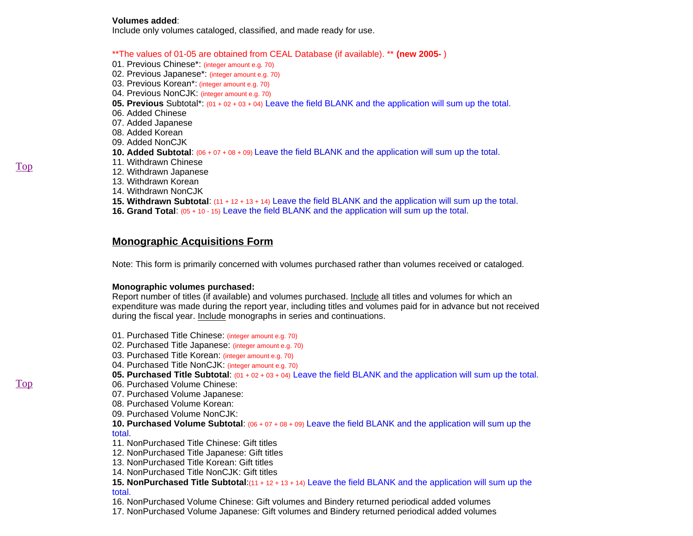#### **Volumes added**:

Include only volumes cataloged, classified, and made ready for use.

\*\*The values of 01-05 are obtained from CEAL Database (if available). \*\* **(new 2005-** )

- 01. Previous Chinese\*: (integer amount e.g. 70)
- 02. Previous Japanese\*: (integer amount e.g. 70)
- 03. Previous Korean\*: (integer amount e.g. 70)
- 04. Previous NonCJK: (integer amount e.g. 70)
- **05. Previous** Subtotal\*: (01 + 02 + 03 + 04) Leave the field BLANK and the application will sum up the total.
- 06. Added Chinese
- 07. Added Japanese
- 08. Added Korean
- 09. Added NonCJK
- **10. Added Subtotal**: (06 + 07 + 08 + 09) Leave the field BLANK and the application will sum up the total.
- 11. Withdrawn Chinese
- 12. Withdrawn Japanese
- 13. Withdrawn Korean
- 14. Withdrawn NonCJK
- **15. Withdrawn Subtotal**: (11 + 12 + 13 + 14) Leave the field BLANK and the application will sum up the total.
- **16. Grand Total**: (05 + 10 15) Leave the field BLANK and the application will sum up the total.

# **Monographic Acquisitions Form**

Note: This form is primarily concerned with volumes purchased rather than volumes received or cataloged.

## **Monographic volumes purchased:**

Report number of titles (if available) and volumes purchased. Include all titles and volumes for which an expenditure was made during the report year, including titles and volumes paid for in advance but not received during the fiscal year. Include monographs in series and continuations.

- 01. Purchased Title Chinese: (integer amount e.g. 70)
- 02. Purchased Title Japanese: (integer amount e.g. 70)
- 03. Purchased Title Korean: (integer amount e.g. 70)
- 04. Purchased Title NonCJK: (integer amount e.g. 70)
- **05. Purchased Title Subtotal**: (01 + 02 + 03 + 04) Leave the field BLANK and the application will sum up the total.
- 06. Purchased Volume Chinese:
- 07. Purchased Volume Japanese:
- 08. Purchased Volume Korean:
- 09. Purchased Volume NonCJK:
- **10. Purchased Volume Subtotal**: (06 + 07 + 08 + 09) Leave the field BLANK and the application will sum up the total.
- 11. NonPurchased Title Chinese: Gift titles
- 12. NonPurchased Title Japanese: Gift titles
- 13. NonPurchased Title Korean: Gift titles
- 14. NonPurchased Title NonCJK: Gift titles
- **15. NonPurchased Title Subtotal**:(11 + 12 + 13 + 14) Leave the field BLANK and the application will sum up the total.
- 16. NonPurchased Volume Chinese: Gift volumes and Bindery returned periodical added volumes
- 17. NonPurchased Volume Japanese: Gift volumes and Bindery returned periodical added volumes

Top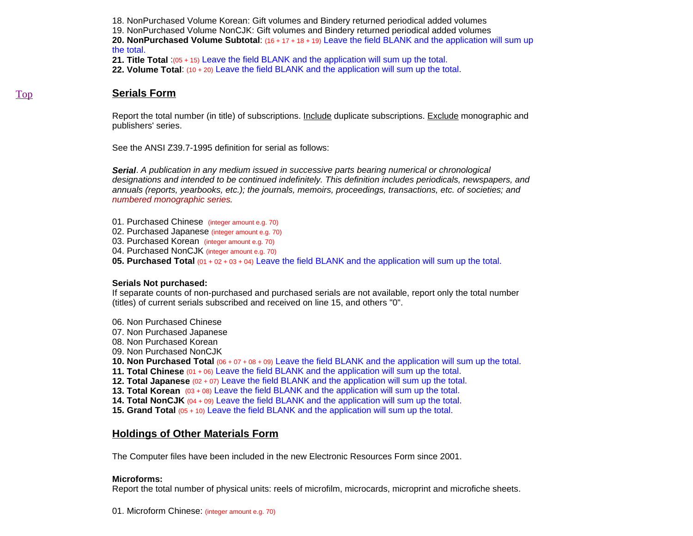18. NonPurchased Volume Korean: Gift volumes and Bindery returned periodical added volumes

19. NonPurchased Volume NonCJK: Gift volumes and Bindery returned periodical added volumes

**20. NonPurchased Volume Subtotal**: (16 + 17 + 18 + 19) Leave the field BLANK and the application will sum up the total.

**21. Title Total** :(05 + 15) Leave the field BLANK and the application will sum up the total.

**22. Volume Total**: (10 + 20) Leave the field BLANK and the application will sum up the total.

## **Serials Form**

Report the total number (in title) of subscriptions. Include duplicate subscriptions. Exclude monographic and publishers' series.

See the ANSI Z39.7-1995 definition for serial as follows:

*Serial*. *A publication in any medium issued in successive parts bearing numerical or chronological designations and intended to be continued indefinitely. This definition includes periodicals, newspapers, and annuals (reports, yearbooks, etc.); the journals, memoirs, proceedings, transactions, etc. of societies; and numbered monographic series.*

- 01. Purchased Chinese (integer amount e.g. 70)
- 02. Purchased Japanese (integer amount e.g. 70)
- 03. Purchased Korean (integer amount e.g. 70)
- 04. Purchased NonCJK (integer amount e.g. 70)

**05. Purchased Total** (01 + 02 + 03 + 04) Leave the field BLANK and the application will sum up the total.

## **Serials Not purchased:**

If separate counts of non-purchased and purchased serials are not available, report only the total number (titles) of current serials subscribed and received on line 15, and others "0".

- 06. Non Purchased Chinese
- 07. Non Purchased Japanese
- 08. Non Purchased Korean
- 09. Non Purchased NonCJK
- **10. Non Purchased Total** (06 + 07 + 08 + 09) Leave the field BLANK and the application will sum up the total.
- **11. Total Chinese** (01 + 06) Leave the field BLANK and the application will sum up the total.
- **12. Total Japanese** (02 + 07) Leave the field BLANK and the application will sum up the total.
- **13. Total Korean** (03 + 08) Leave the field BLANK and the application will sum up the total.
- **14. Total NonCJK** (04 + 09) Leave the field BLANK and the application will sum up the total.
- **15. Grand Total** (05 + 10) Leave the field BLANK and the application will sum up the total.

# **Holdings of Other Materials Form**

The Computer files have been included in the new Electronic Resources Form since 2001.

# **Microforms:**

Report the total number of physical units: reels of microfilm, microcards, microprint and microfiche sheets.

01. Microform Chinese: (integer amount e.g. 70)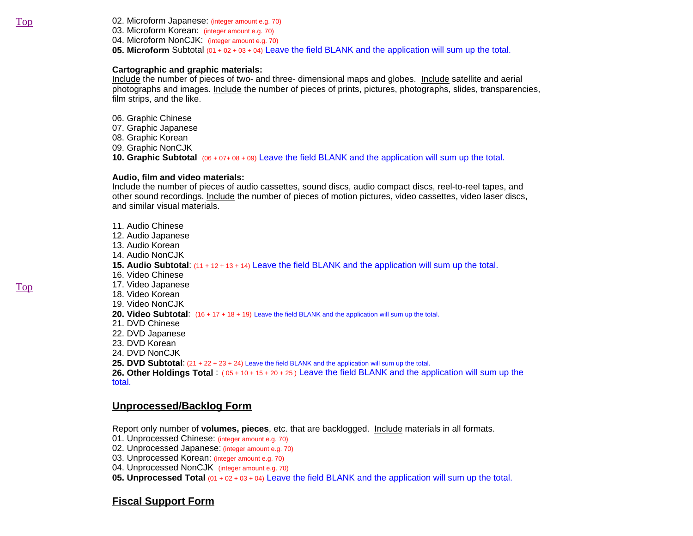02. Microform Japanese: (integer amount e.g. 70) 03. Microform Korean: (integer amount e.g. 70) 04. Microform NonCJK: (integer amount e.g. 70) **05. Microform** Subtotal (01 + 02 + 03 + 04) Leave the field BLANK and the application will sum up the total.

#### **Cartographic and graphic materials:**

Include the number of pieces of two- and three- dimensional maps and globes. Include satellite and aerial photographs and images. Include the number of pieces of prints, pictures, photographs, slides, transparencies, film strips, and the like.

- 06. Graphic Chinese
- 07. Graphic Japanese
- 08. Graphic Korean
- 09. Graphic NonCJK

**10. Graphic Subtotal** (06 + 07+ 08 + 09) Leave the field BLANK and the application will sum up the total.

## **Audio, film and video materials:**

Include the number of pieces of audio cassettes, sound discs, audio compact discs, reel-to-reel tapes, and other sound recordings. Include the number of pieces of motion pictures, video cassettes, video laser discs, and similar visual materials.

11. Audio Chinese 12. Audio Japanese 13. Audio Korean 14. Audio NonCJK **15. Audio Subtotal**: (11 + 12 + 13 + 14) Leave the field BLANK and the application will sum up the total. 16. Video Chinese 17. Video Japanese 18. Video Korean 19. Video NonCJK 20. Video Subtotal:  $(16 + 17 + 18 + 19)$  Leave the field BLANK and the application will sum up the total. 21. DVD Chinese 22. DVD Japanese 23. DVD Korean 24. DVD NonCJK **25. DVD Subtotal**: (21 + 22 + 23 + 24) Leave the field BLANK and the application will sum up the total. **26. Other Holdings Total** : ( 05 + 10 + 15 + 20 + 25 ) Leave the field BLANK and the application will sum up the

total.

# **Unprocessed/Backlog Form**

Report only number of **volumes, pieces**, etc. that are backlogged. Include materials in all formats.

- 01. Unprocessed Chinese: (integer amount e.g. 70)
- 02. Unprocessed Japanese: (integer amount e.g. 70)
- 03. Unprocessed Korean: (integer amount e.g. 70)
- 04. Unprocessed NonCJK (integer amount e.g. 70)
- **05. Unprocessed Total** (01 + 02 + 03 + 04) Leave the field BLANK and the application will sum up the total.

# **Fiscal Support Form**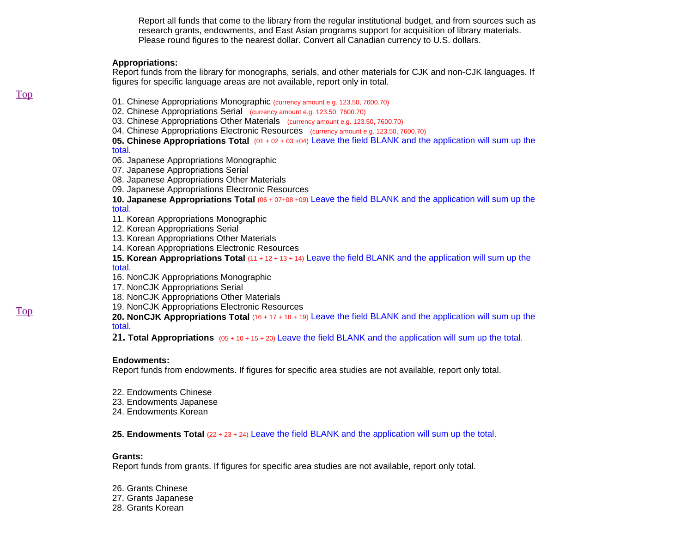Report all funds that come to the library from the regular institutional budget, and from sources such as research grants, endowments, and East Asian programs support for acquisition of library materials. Please round figures to the nearest dollar. Convert all Canadian currency to U.S. dollars.

#### **Appropriations:**

Report funds from the library for monographs, serials, and other materials for CJK and non-CJK languages. If figures for specific language areas are not available, report only in total.

- 01. Chinese Appropriations Monographic (currency amount e.g. 123.50, 7600.70)
- 02. Chinese Appropriations Serial (currency amount e.g. 123.50, 7600.70)
- 03. Chinese Appropriations Other Materials (currency amount e.g. 123.50, 7600.70)
- 04. Chinese Appropriations Electronic Resources (currency amount e.g. 123.50, 7600.70)

# **05. Chinese Appropriations Total** (01 + 02 + 03 +04) Leave the field BLANK and the application will sum up the

total.

- 06. Japanese Appropriations Monographic
- 07. Japanese Appropriations Serial
- 08. Japanese Appropriations Other Materials
- 09. Japanese Appropriations Electronic Resources

## **10. Japanese Appropriations Total** (06 + 07+08 +09) Leave the field BLANK and the application will sum up the

### total.

- 11. Korean Appropriations Monographic
- 12. Korean Appropriations Serial
- 13. Korean Appropriations Other Materials
- 14. Korean Appropriations Electronic Resources
- **15. Korean Appropriations Total** (11 + 12 + 13 + 14) Leave the field BLANK and the application will sum up the

### total.

- 16. NonCJK Appropriations Monographic
- 17. NonCJK Appropriations Serial
- 18. NonCJK Appropriations Other Materials
- 19. NonCJK Appropriations Electronic Resources
- **20. NonCJK Appropriations Total** (16 + 17 + 18 + 19) Leave the field BLANK and the application will sum up the total.

**21. Total Appropriations** (05 + 10 + 15 + 20) Leave the field BLANK and the application will sum up the total.

#### **Endowments:**

Report funds from endowments. If figures for specific area studies are not available, report only total.

- 22. Endowments Chinese
- 23. Endowments Japanese
- 24. Endowments Korean

## **25. Endowments Total** (22 + 23 + 24) Leave the field BLANK and the application will sum up the total.

## **Grants:**

Report funds from grants. If figures for specific area studies are not available, report only total.

- 26. Grants Chinese
- 27. Grants Japanese
- 28. Grants Korean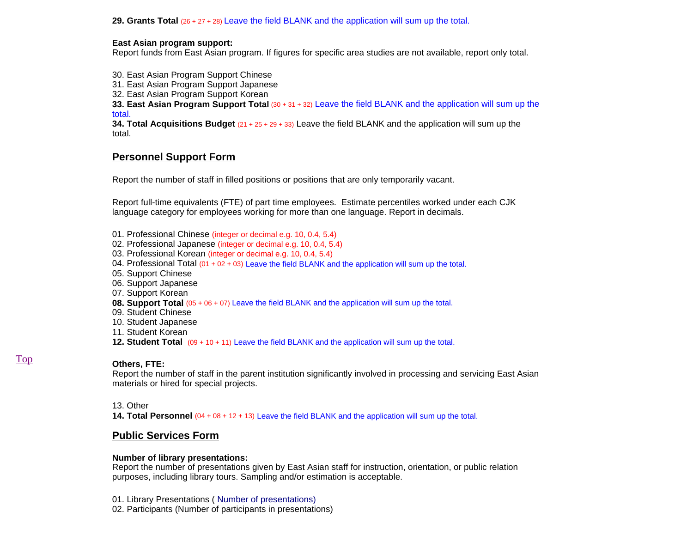**29. Grants Total** (26 + 27 + 28) Leave the field BLANK and the application will sum up the total.

## **East Asian program support:**

Report funds from East Asian program. If figures for specific area studies are not available, report only total.

30. East Asian Program Support Chinese

31. East Asian Program Support Japanese

32. East Asian Program Support Korean

**33. East Asian Program Support Total** (30 + 31 + 32) Leave the field BLANK and the application will sum up the total.

**34. Total Acquisitions Budget** (21 + 25 + 29 + 33) Leave the field BLANK and the application will sum up the total.

# **Personnel Support Form**

Report the number of staff in filled positions or positions that are only temporarily vacant.

Report full-time equivalents (FTE) of part time employees. Estimate percentiles worked under each CJK language category for employees working for more than one language. Report in decimals.

- 01. Professional Chinese (integer or decimal e.g. 10, 0.4, 5.4)
- 02. Professional Japanese (integer or decimal e.g. 10, 0.4, 5.4)
- 03. Professional Korean (integer or decimal e.g. 10, 0.4, 5.4)
- 04. Professional Total (01 + 02 + 03) Leave the field BLANK and the application will sum up the total.
- 05. Support Chinese
- 06. Support Japanese
- 07. Support Korean
- **08. Support Total** (05 + 06 + 07) Leave the field BLANK and the application will sum up the total.
- 09. Student Chinese
- 10. Student Japanese
- 11. Student Korean
- **12. Student Total** (09 + 10 + 11) Leave the field BLANK and the application will sum up the total.

## **Others, FTE:**

Report the number of staff in the parent institution significantly involved in processing and servicing East Asian materials or hired for special projects.

## 13. Other

**14. Total Personnel** (04 + 08 + 12 + 13) Leave the field BLANK and the application will sum up the total.

# **Public Services Form**

## **Number of library presentations:**

Report the number of presentations given by East Asian staff for instruction, orientation, or public relation purposes, including library tours. Sampling and/or estimation is acceptable.

- 01. Library Presentations ( Number of presentations)
- 02. Participants (Number of participants in presentations)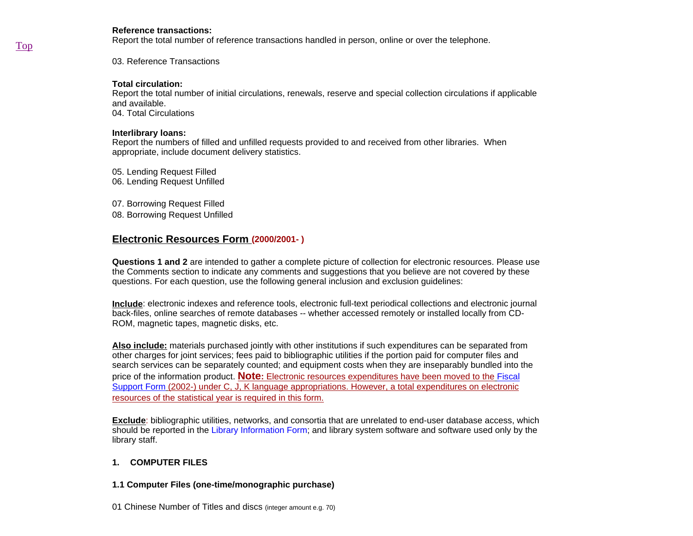#### **Reference transactions:**

Report the total number of reference transactions handled in person, online or over the telephone.

03. Reference Transactions

### **Total circulation:**

Report the total number of initial circulations, renewals, reserve and special collection circulations if applicable and available. 04. Total Circulations

#### **Interlibrary loans:**

Report the numbers of filled and unfilled requests provided to and received from other libraries. When appropriate, include document delivery statistics.

05. Lending Request Filled 06. Lending Request Unfilled

07. Borrowing Request Filled

08. Borrowing Request Unfilled

# **Electronic Resources Form (2000/2001- )**

**Questions 1 and 2** are intended to gather a complete picture of collection for electronic resources. Please use the Comments section to indicate any comments and suggestions that you believe are not covered by these questions. For each question, use the following general inclusion and exclusion guidelines:

**Include**: electronic indexes and reference tools, electronic full-text periodical collections and electronic journal back-files, online searches of remote databases -- whether accessed remotely or installed locally from CD-ROM, magnetic tapes, magnetic disks, etc.

**Also include:** materials purchased jointly with other institutions if such expenditures can be separated from other charges for joint services; fees paid to bibliographic utilities if the portion paid for computer files and search services can be separately counted; and equipment costs when they are inseparably bundled into the price of the information product. **Note:** Electronic resources expenditures have been moved to the Fiscal Support Form (2002-) under C, J, K language appropriations. However, a total expenditures on electronic resources of the statistical year is required in this form.

**Exclude**: bibliographic utilities, networks, and consortia that are unrelated to end-user database access, which should be reported in the Library Information Form; and library system software and software used only by the library staff.

## **1. COMPUTER FILES**

## **1.1 Computer Files (one-time/monographic purchase)**

01 Chinese Number of Titles and discs (integer amount e.g. 70)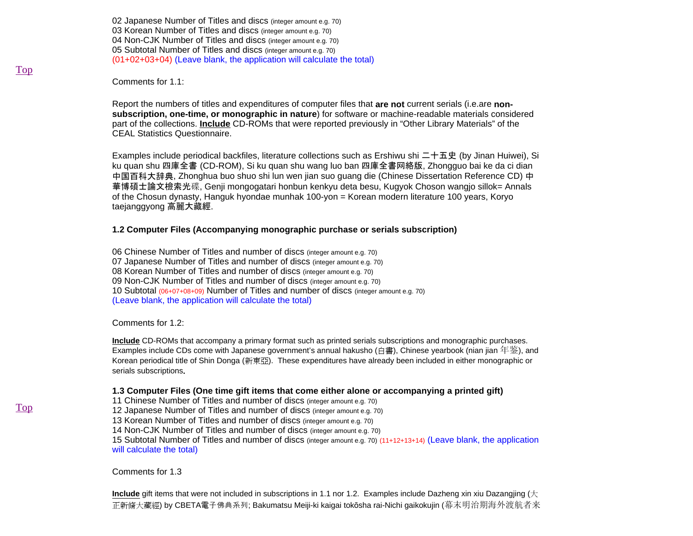02 Japanese Number of Titles and discs (integer amount e.g. 70) 03 Korean Number of Titles and discs (integer amount e.g. 70) 04 Non-CJK Number of Titles and discs (integer amount e.g. 70) 05 Subtotal Number of Titles and discs (integer amount e.g. 70) (01+02+03+04) (Leave blank, the application will calculate the total)

Comments for 1.1:

Report the numbers of titles and expenditures of computer files that **are not** current serials (i.e.are **nonsubscription, one-time, or monographic in nature**) for software or machine-readable materials considered part of the collections. **Include** CD-ROMs that were reported previously in "Other Library Materials" of the CEAL Statistics Questionnaire.

Examples include periodical backfiles, literature collections such as Ershiwu shi 二十五史 (by Jinan Huiwei), Si ku quan shu 四庫全書 (CD-ROM), Si ku quan shu wang luo ban 四庫全書网絡版, Zhongguo bai ke da ci dian 中国百科大辞典, Zhonghua buo shuo shi lun wen jian suo guang die (Chinese Dissertation Reference CD) 中 華博碩士論文檢索光碟, Genji mongogatari honbun kenkyu deta besu, Kugyok Choson wangjo sillok= Annals of the Chosun dynasty, Hanguk hyondae munhak 100-yon = Korean modern literature 100 years, Koryo taejanggyong 高麗大藏經.

#### **1.2 Computer Files (Accompanying monographic purchase or serials subscription)**

06 Chinese Number of Titles and number of discs (integer amount e.g. 70) 07 Japanese Number of Titles and number of discs (integer amount e.g. 70) 08 Korean Number of Titles and number of discs (integer amount e.g. 70) 09 Non-CJK Number of Titles and number of discs (integer amount e.g. 70) 10 Subtotal (06+07+08+09) Number of Titles and number of discs (integer amount e.g. 70) (Leave blank, the application will calculate the total)

#### Comments for 1.2:

**Include** CD-ROMs that accompany a primary format such as printed serials subscriptions and monographic purchases. Examples include CDs come with Japanese government's annual hakusho (白書), Chinese yearbook (nian jian 年鉴), and Korean periodical title of Shin Donga (新東亞). These expenditures have already been included in either monographic or serials subscriptions**.** 

#### **1.3 Computer Files (One time gift items that come either alone or accompanying a printed gift)**

11 Chinese Number of Titles and number of discs (integer amount e.g. 70)

12 Japanese Number of Titles and number of discs (integer amount e.g. 70)

13 Korean Number of Titles and number of discs (integer amount e.g. 70)

14 Non-CJK Number of Titles and number of discs (integer amount e.g. 70)

15 Subtotal Number of Titles and number of discs (integer amount e.g. 70) (11+12+13+14) (Leave blank, the application will calculate the total)

Comments for 1.3

**Include** gift items that were not included in subscriptions in 1.1 nor 1.2. Examples include Dazheng xin xiu Dazangjing (大 正新脩大藏經) by CBETA電子佛典系列; Bakumatsu Meiji-ki kaigai tokōsha rai-Nichi gaikokujin (幕末明治期海外渡航者来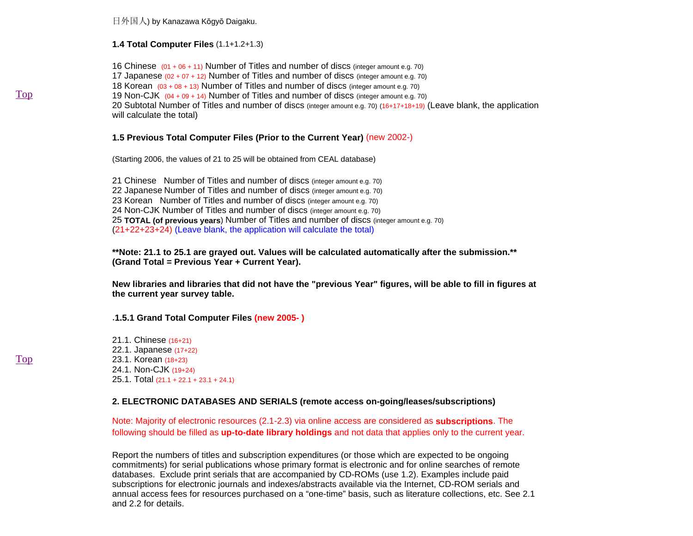日外国人) by Kanazawa Kōgyō Daigaku.

**1.4 Total Computer Files** (1.1+1.2+1.3)

16 Chinese (01 + 06 + 11) Number of Titles and number of discs (integer amount e.g. 70) 17 Japanese  $(0.2 + 0.7 + 12)$  Number of Titles and number of discs (integer amount e.g. 70) 18 Korean  $(03 + 08 + 13)$  Number of Titles and number of discs (integer amount e.g. 70) 19 Non-CJK (04 + 09 + 14) Number of Titles and number of discs (integer amount e.g. 70) 20 Subtotal Number of Titles and number of discs (integer amount e.g. 70) (16+17+18+19) (Leave blank, the application will calculate the total)

#### **1.5 Previous Total Computer Files (Prior to the Current Year)** (new 2002-)

(Starting 2006, the values of 21 to 25 will be obtained from CEAL database)

21 Chinese Number of Titles and number of discs (integer amount e.g. 70) 22 Japanese Number of Titles and number of discs (integer amount e.g. 70) 23 Korean Number of Titles and number of discs (integer amount e.g. 70) 24 Non-CJK Number of Titles and number of discs (integer amount e.g. 70) 25 **TOTAL (of previous years**) Number of Titles and number of discs (integer amount e.g. 70) (21+22+23+24) (Leave blank, the application will calculate the total)

**\*\*Note: 21.1 to 25.1 are grayed out. Values will be calculated automatically after the submission.\*\* (Grand Total = Previous Year + Current Year).** 

**New libraries and libraries that did not have the "previous Year" figures, will be able to fill in figures at the current year survey table.** 

.**1.5.1 Grand Total Computer Files (new 2005- )** 

21.1. Chinese (16+21) 22.1. Japanese (17+22) 23.1. Korean (18+23) 24.1. Non-CJK (19+24) 25.1. Total (21.1 + 22.1 + 23.1 + 24.1)

## **2. ELECTRONIC DATABASES AND SERIALS (remote access on-going/leases/subscriptions)**

Note: Majority of electronic resources (2.1-2.3) via online access are considered as **subscriptions**. The following should be filled as **up-to-date library holdings** and not data that applies only to the current year.

Report the numbers of titles and subscription expenditures (or those which are expected to be ongoing commitments) for serial publications whose primary format is electronic and for online searches of remote databases. Exclude print serials that are accompanied by CD-ROMs (use 1.2). Examples include paid subscriptions for electronic journals and indexes/abstracts available via the Internet, CD-ROM serials and annual access fees for resources purchased on a "one-time" basis, such as literature collections, etc. See 2.1 and 2.2 for details.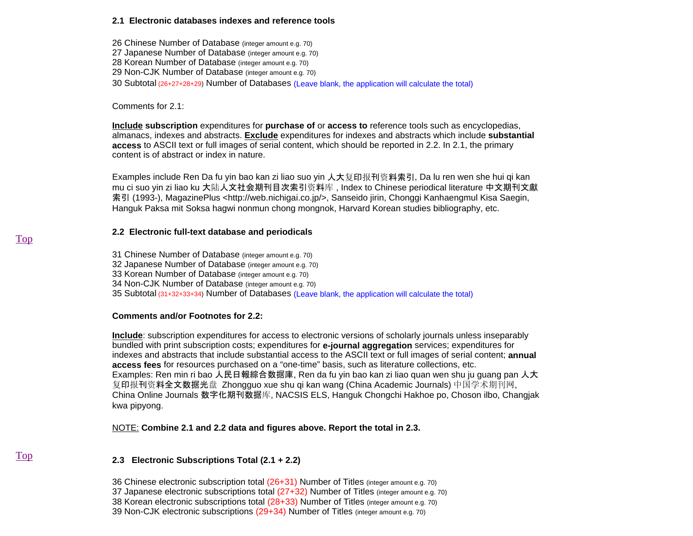#### **2.1 Electronic databases indexes and reference tools**

26 Chinese Number of Database (integer amount e.g. 70) 27 Japanese Number of Database (integer amount e.g. 70) 28 Korean Number of Database (integer amount e.g. 70) 29 Non-CJK Number of Database (integer amount e.g. 70) 30 Subtotal (26+27+28+29) Number of Databases (Leave blank, the application will calculate the total)

Comments for 2.1:

**Include subscription** expenditures for **purchase of** or **access to** reference tools such as encyclopedias, almanacs, indexes and abstracts. **Exclude** expenditures for indexes and abstracts which include **substantial access** to ASCII text or full images of serial content, which should be reported in 2.2. In 2.1, the primary content is of abstract or index in nature.

Examples include Ren Da fu yin bao kan zi liao suo yin 人大复印报刊资料索引, Da lu ren wen she hui qi kan mu ci suo yin zi liao ku 大陆人文社会期刊目次索引资料库 , Index to Chinese periodical literature 中文期刊文獻 索引 (1993-), MagazinePlus <http://web.nichigai.co.jp/>, Sanseido jirin, Chonggi Kanhaengmul Kisa Saegin, Hanguk Paksa mit Soksa hagwi nonmun chong mongnok, Harvard Korean studies bibliography, etc.

## **2.2 Electronic full-text database and periodicals**

31 Chinese Number of Database (integer amount e.g. 70) 32 Japanese Number of Database (integer amount e.g. 70) 33 Korean Number of Database (integer amount e.g. 70) 34 Non-CJK Number of Database (integer amount e.g. 70) 35 Subtotal (31+32+33+34) Number of Databases (Leave blank, the application will calculate the total)

## **Comments and/or Footnotes for 2.2:**

**Include**: subscription expenditures for access to electronic versions of scholarly journals unless inseparably bundled with print subscription costs; expenditures for **e-journal aggregation** services; expenditures for indexes and abstracts that include substantial access to the ASCII text or full images of serial content; **annual access fees** for resources purchased on a "one-time" basis, such as literature collections, etc. Examples: Ren min ri bao 人民日報綜合数据庫, Ren da fu yin bao kan zi liao quan wen shu ju guang pan 人大 复印报刊资料全文数据光盘 Zhongguo xue shu qi kan wang (China Academic Journals) 中国学术期刊网, China Online Journals 数字化期刊数据库, NACSIS ELS, Hanguk Chongchi Hakhoe po, Choson ilbo, Changjak kwa pipyong.

NOTE: **Combine 2.1 and 2.2 data and figures above. Report the total in 2.3.**

# **2.3 Electronic Subscriptions Total (2.1 + 2.2)**

- 36 Chinese electronic subscription total (26+31) Number of Titles (integer amount e.g. 70)
- 37 Japanese electronic subscriptions total (27+32) Number of Titles (integer amount e.g. 70)
- 38 Korean electronic subscriptions total (28+33) Number of Titles (integer amount e.g. 70)
- 39 Non-CJK electronic subscriptions (29+34) Number of Titles (integer amount e.g. 70)

Top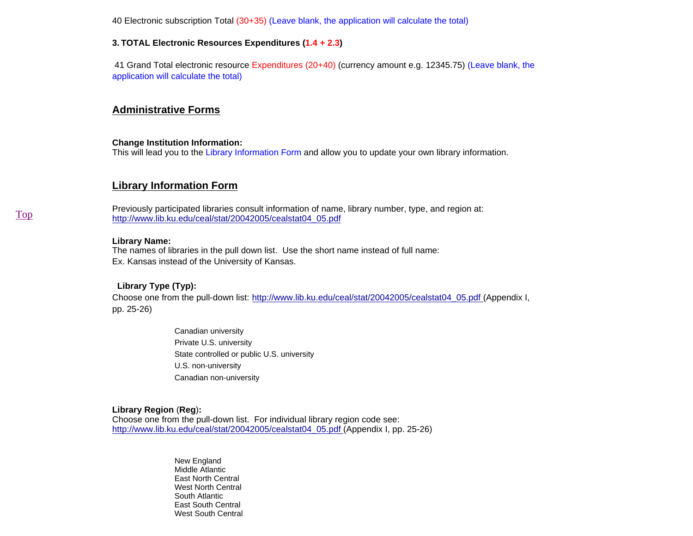40 Electronic subscription Total (30+35) (Leave blank, the application will calculate the total)

### **3. TOTAL Electronic Resources Expenditures (1.4 + 2.3)**

 41 Grand Total electronic resource Expenditures (20+40) (currency amount e.g. 12345.75) (Leave blank, the application will calculate the total)

# **Administrative Forms**

#### **Change Institution Information:**

This will lead you to the Library Information Form and allow you to update your own library information.

# **Library Information Form**

Previously participated libraries consult information of name, library number, type, and region at: http://www.lib.ku.edu/ceal/stat/20042005/cealstat04\_05.pdf

#### **Library Name:**

The names of libraries in the pull down list. Use the short name instead of full name: Ex. Kansas instead of the University of Kansas.

## **Library Type (Typ):**

Choose one from the pull-down list: http://www.lib.ku.edu/ceal/stat/20042005/cealstat04\_05.pdf (Appendix I, pp. 25-26)

> Canadian university Private U.S. university State controlled or public U.S. university U.S. non-university Canadian non-university

#### **Library Region** (**Reg**)**:**

Choose one from the pull-down list. For individual library region code see: http://www.lib.ku.edu/ceal/stat/20042005/cealstat04\_05.pdf (Appendix I, pp. 25-26)

> New England Middle AtlanticEast North Central West North Central South Atlantic East South CentralWest South Central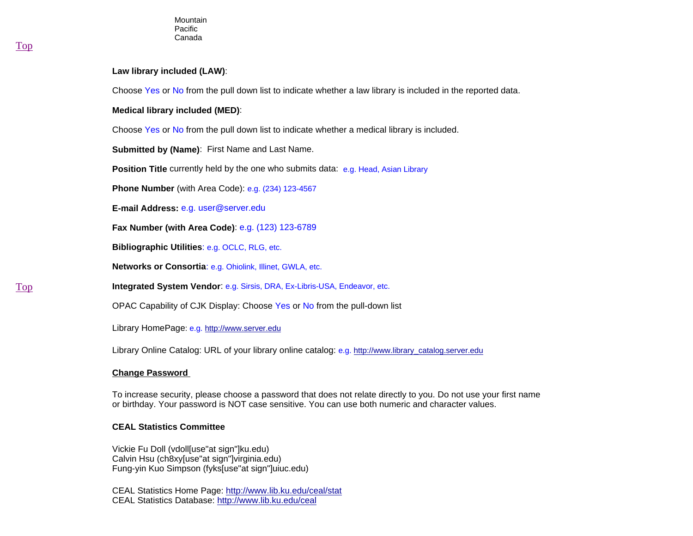#### **Law library included (LAW)**:

Choose Yes or No from the pull down list to indicate whether a law library is included in the reported data.

**Medical library included (MED)**:

Choose Yes or No from the pull down list to indicate whether a medical library is included.

**Submitted by (Name)**: First Name and Last Name.

**Position Title** currently held by the one who submits data: e.g. Head, Asian Library

**Phone Number** (with Area Code): e.g. (234) 123-4567

**E-mail Address:** e.g. user@server.edu

**Fax Number (with Area Code)**: e.g. (123) 123-6789

**Bibliographic Utilities**: e.g. OCLC, RLG, etc.

**Networks or Consortia**: e.g. Ohiolink, Illinet, GWLA, etc.

**Integrated System Vendor**: e.g. Sirsis, DRA, Ex-Libris-USA, Endeavor, etc.

OPAC Capability of CJK Display: Choose Yes or No from the pull-down list

Library HomePage: e.g. http://www.server.edu

Library Online Catalog: URL of your library online catalog: e.g. http://www.library\_catalog.server.edu

#### **Change Password**

To increase security, please choose a password that does not relate directly to you. Do not use your first name or birthday. Your password is NOT case sensitive. You can use both numeric and character values.

## **CEAL Statistics Committee**

Vickie Fu Doll (vdoll[use"at sign"]ku.edu) Calvin Hsu (ch8xy[use"at sign"]virginia.edu) Fung-yin Kuo Simpson (fyks[use"at sign"]uiuc.edu)

CEAL Statistics Home Page: http://www.lib.ku.edu/ceal/stat CEAL Statistics Database: http://www.lib.ku.edu/ceal